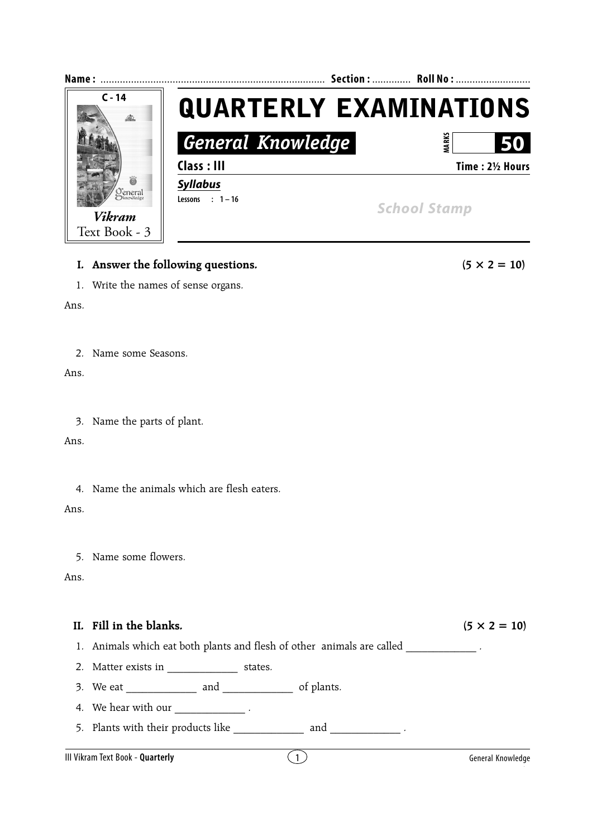

## **I.** Answer the following questions.  $(5 \times 2 = 10)$

1. Write the names of sense organs.

Ans.

2. Name some Seasons.

Ans.

3. Name the parts of plant.

Ans.

4. Name the animals which are flesh eaters.

Ans.

5. Name some flowers.

Ans.

## **II.** Fill in the blanks.  $(5 \times 2 = 10)$

- 1. Animals which eat both plants and flesh of other animals are called  $\blacksquare$ .
- 2. Matter exists in \_\_\_\_\_\_\_\_\_\_\_\_\_\_\_\_\_ states.
- 3. We eat \_\_\_\_\_\_\_\_\_\_\_\_\_ and \_\_\_\_\_\_\_\_\_\_\_\_\_ of plants.
- 4. We hear with our  $\frac{1}{\sqrt{1-\frac{1}{\sqrt{1-\frac{1}{\sqrt{1-\frac{1}{\sqrt{1-\frac{1}{\sqrt{1-\frac{1}{\sqrt{1-\frac{1}{\sqrt{1-\frac{1}{\sqrt{1-\frac{1}{\sqrt{1-\frac{1}{\sqrt{1-\frac{1}{\sqrt{1-\frac{1}{\sqrt{1-\frac{1}{\sqrt{1-\frac{1}{\sqrt{1-\frac{1}{\sqrt{1-\frac{1}{\sqrt{1-\frac{1}{\sqrt{1-\frac{1}{\sqrt{1-\frac{1}{\sqrt{1-\frac{1}{\sqrt{1-\frac{1}{\sqrt{1-\frac{1}{\sqrt{1-\frac$
- 5. Plants with their products like  $\frac{1}{2}$  and  $\frac{1}{2}$ .

## III Vikram Text Book - **Quarterly** and the second second  $\binom{1}{1}$